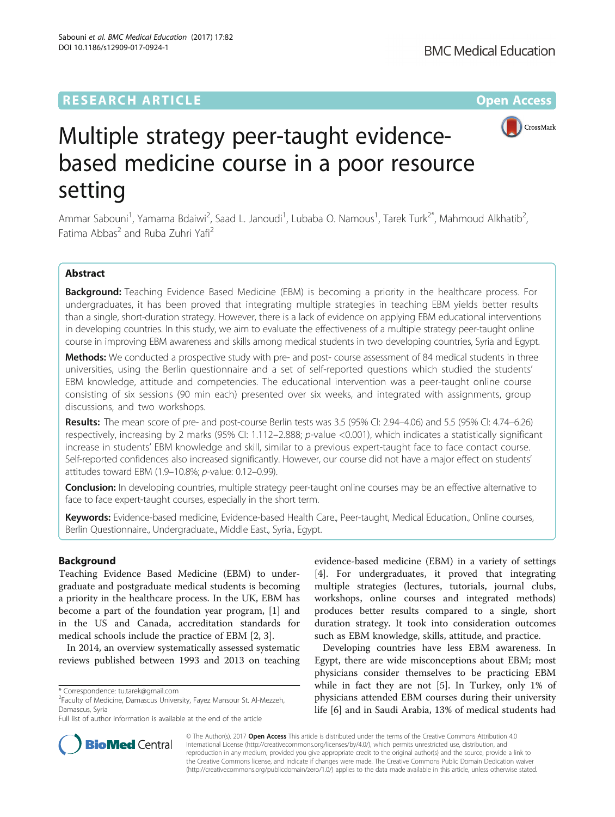DOI 10.1186/s12909-017-0924-1

Sabouni et al. BMC Medical Education (2017) 17:82



# Multiple strategy peer-taught evidencebased medicine course in a poor resource setting

Ammar Sabouni<sup>1</sup>, Yamama Bdaiwi<sup>2</sup>, Saad L. Janoudi<sup>1</sup>, Lubaba O. Namous<sup>1</sup>, Tarek Turk<sup>2\*</sup>, Mahmoud Alkhatib<sup>2</sup> , Fatima Abbas<sup>2</sup> and Ruba Zuhri Yafi<sup>2</sup>

# Abstract

Background: Teaching Evidence Based Medicine (EBM) is becoming a priority in the healthcare process. For undergraduates, it has been proved that integrating multiple strategies in teaching EBM yields better results than a single, short-duration strategy. However, there is a lack of evidence on applying EBM educational interventions in developing countries. In this study, we aim to evaluate the effectiveness of a multiple strategy peer-taught online course in improving EBM awareness and skills among medical students in two developing countries, Syria and Egypt.

Methods: We conducted a prospective study with pre- and post- course assessment of 84 medical students in three universities, using the Berlin questionnaire and a set of self-reported questions which studied the students' EBM knowledge, attitude and competencies. The educational intervention was a peer-taught online course consisting of six sessions (90 min each) presented over six weeks, and integrated with assignments, group discussions, and two workshops.

Results: The mean score of pre- and post-course Berlin tests was 3.5 (95% Cl: 2.94–4.06) and 5.5 (95% Cl: 4.74–6.26) respectively, increasing by 2 marks (95% CI: 1.112–2.888; p-value <0.001), which indicates a statistically significant increase in students' EBM knowledge and skill, similar to a previous expert-taught face to face contact course. Self-reported confidences also increased significantly. However, our course did not have a major effect on students' attitudes toward EBM (1.9–10.8%; p-value: 0.12–0.99).

**Conclusion:** In developing countries, multiple strategy peer-taught online courses may be an effective alternative to face to face expert-taught courses, especially in the short term.

Keywords: Evidence-based medicine, Evidence-based Health Care., Peer-taught, Medical Education., Online courses, Berlin Questionnaire., Undergraduate., Middle East., Syria., Egypt.

# Background

Teaching Evidence Based Medicine (EBM) to undergraduate and postgraduate medical students is becoming a priority in the healthcare process. In the UK, EBM has become a part of the foundation year program, [\[1](#page-5-0)] and in the US and Canada, accreditation standards for medical schools include the practice of EBM [[2, 3\]](#page-5-0).

In 2014, an overview systematically assessed systematic reviews published between 1993 and 2013 on teaching

evidence-based medicine (EBM) in a variety of settings [[4\]](#page-5-0). For undergraduates, it proved that integrating multiple strategies (lectures, tutorials, journal clubs, workshops, online courses and integrated methods) produces better results compared to a single, short duration strategy. It took into consideration outcomes such as EBM knowledge, skills, attitude, and practice.

Developing countries have less EBM awareness. In Egypt, there are wide misconceptions about EBM; most physicians consider themselves to be practicing EBM while in fact they are not [[5\]](#page-5-0). In Turkey, only 1% of physicians attended EBM courses during their university life [\[6](#page-5-0)] and in Saudi Arabia, 13% of medical students had



© The Author(s). 2017 **Open Access** This article is distributed under the terms of the Creative Commons Attribution 4.0 International License [\(http://creativecommons.org/licenses/by/4.0/](http://creativecommons.org/licenses/by/4.0/)), which permits unrestricted use, distribution, and reproduction in any medium, provided you give appropriate credit to the original author(s) and the source, provide a link to the Creative Commons license, and indicate if changes were made. The Creative Commons Public Domain Dedication waiver [\(http://creativecommons.org/publicdomain/zero/1.0/](http://creativecommons.org/publicdomain/zero/1.0/)) applies to the data made available in this article, unless otherwise stated.

<sup>\*</sup> Correspondence: [tu.tarek@gmail.com](mailto:tu.tarek@gmail.com) <sup>2</sup>

Faculty of Medicine, Damascus University, Fayez Mansour St. Al-Mezzeh, Damascus, Syria

Full list of author information is available at the end of the article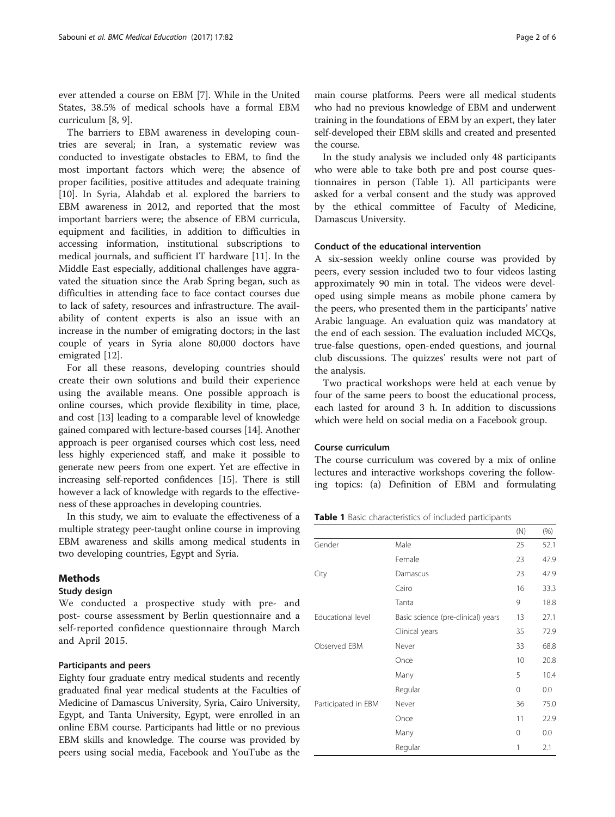<span id="page-1-0"></span>ever attended a course on EBM [[7\]](#page-5-0). While in the United States, 38.5% of medical schools have a formal EBM curriculum [\[8](#page-5-0), [9](#page-5-0)].

The barriers to EBM awareness in developing countries are several; in Iran, a systematic review was conducted to investigate obstacles to EBM, to find the most important factors which were; the absence of proper facilities, positive attitudes and adequate training [[10\]](#page-5-0). In Syria, Alahdab et al. explored the barriers to EBM awareness in 2012, and reported that the most important barriers were; the absence of EBM curricula, equipment and facilities, in addition to difficulties in accessing information, institutional subscriptions to medical journals, and sufficient IT hardware [\[11\]](#page-5-0). In the Middle East especially, additional challenges have aggravated the situation since the Arab Spring began, such as difficulties in attending face to face contact courses due to lack of safety, resources and infrastructure. The availability of content experts is also an issue with an increase in the number of emigrating doctors; in the last couple of years in Syria alone 80,000 doctors have emigrated [[12](#page-5-0)].

For all these reasons, developing countries should create their own solutions and build their experience using the available means. One possible approach is online courses, which provide flexibility in time, place, and cost [[13](#page-5-0)] leading to a comparable level of knowledge gained compared with lecture-based courses [[14](#page-5-0)]. Another approach is peer organised courses which cost less, need less highly experienced staff, and make it possible to generate new peers from one expert. Yet are effective in increasing self-reported confidences [[15\]](#page-5-0). There is still however a lack of knowledge with regards to the effectiveness of these approaches in developing countries.

In this study, we aim to evaluate the effectiveness of a multiple strategy peer-taught online course in improving EBM awareness and skills among medical students in two developing countries, Egypt and Syria.

#### Methods

#### Study design

We conducted a prospective study with pre- and post- course assessment by Berlin questionnaire and a self-reported confidence questionnaire through March and April 2015.

#### Participants and peers

Eighty four graduate entry medical students and recently graduated final year medical students at the Faculties of Medicine of Damascus University, Syria, Cairo University, Egypt, and Tanta University, Egypt, were enrolled in an online EBM course. Participants had little or no previous EBM skills and knowledge. The course was provided by peers using social media, Facebook and YouTube as the

main course platforms. Peers were all medical students who had no previous knowledge of EBM and underwent training in the foundations of EBM by an expert, they later self-developed their EBM skills and created and presented the course.

In the study analysis we included only 48 participants who were able to take both pre and post course questionnaires in person (Table 1). All participants were asked for a verbal consent and the study was approved by the ethical committee of Faculty of Medicine, Damascus University.

#### Conduct of the educational intervention

A six-session weekly online course was provided by peers, every session included two to four videos lasting approximately 90 min in total. The videos were developed using simple means as mobile phone camera by the peers, who presented them in the participants' native Arabic language. An evaluation quiz was mandatory at the end of each session. The evaluation included MCQs, true-false questions, open-ended questions, and journal club discussions. The quizzes' results were not part of the analysis.

Two practical workshops were held at each venue by four of the same peers to boost the educational process, each lasted for around 3 h. In addition to discussions which were held on social media on a Facebook group.

#### Course curriculum

The course curriculum was covered by a mix of online lectures and interactive workshops covering the following topics: (a) Definition of EBM and formulating

Table 1 Basic characteristics of included participants

|                     |                                    | (N)      | $(\% )$ |
|---------------------|------------------------------------|----------|---------|
| Gender              | Male                               | 25       | 52.1    |
|                     | Female                             | 23       | 47.9    |
| City                | Damascus                           | 23       | 47.9    |
|                     | Cairo                              | 16       | 33.3    |
|                     | Tanta                              | 9        | 18.8    |
| Educational level   | Basic science (pre-clinical) years | 13       | 27.1    |
|                     | Clinical years                     | 35       | 72.9    |
| Observed EBM        | Never                              | 33       | 68.8    |
|                     | Once                               | 10       | 20.8    |
|                     | Many                               | 5        | 10.4    |
|                     | Regular                            | $\Omega$ | 0.0     |
| Participated in EBM | Never                              | 36       | 75.0    |
|                     | Once                               | 11       | 22.9    |
|                     | Many                               | $\Omega$ | 0.0     |
|                     | Regular                            | 1        | 2.1     |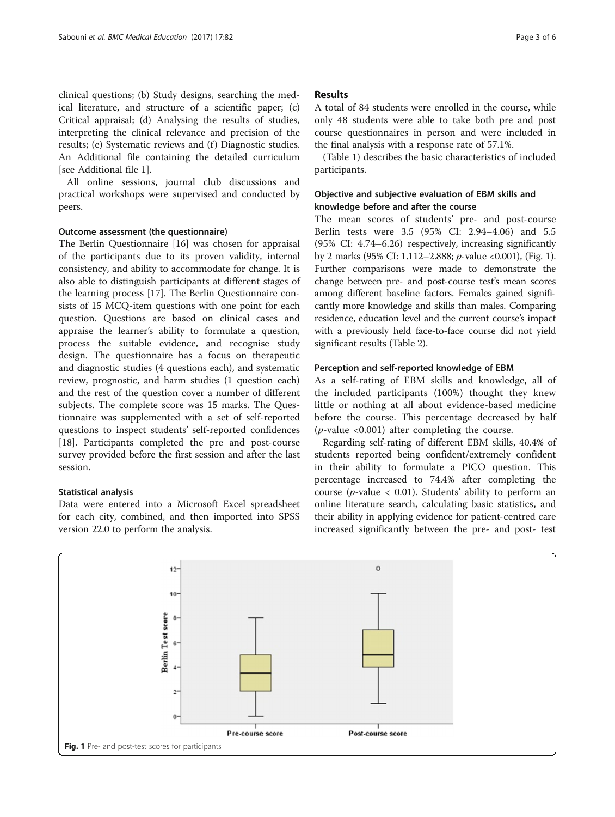clinical questions; (b) Study designs, searching the medical literature, and structure of a scientific paper; (c) Critical appraisal; (d) Analysing the results of studies, interpreting the clinical relevance and precision of the results; (e) Systematic reviews and (f) Diagnostic studies. An Additional file containing the detailed curriculum [see Additional file [1\]](#page-4-0).

All online sessions, journal club discussions and practical workshops were supervised and conducted by peers.

# Outcome assessment (the questionnaire)

The Berlin Questionnaire [\[16](#page-5-0)] was chosen for appraisal of the participants due to its proven validity, internal consistency, and ability to accommodate for change. It is also able to distinguish participants at different stages of the learning process [[17\]](#page-5-0). The Berlin Questionnaire consists of 15 MCQ-item questions with one point for each question. Questions are based on clinical cases and appraise the learner's ability to formulate a question, process the suitable evidence, and recognise study design. The questionnaire has a focus on therapeutic and diagnostic studies (4 questions each), and systematic review, prognostic, and harm studies (1 question each) and the rest of the question cover a number of different subjects. The complete score was 15 marks. The Questionnaire was supplemented with a set of self-reported questions to inspect students' self-reported confidences [[18\]](#page-5-0). Participants completed the pre and post-course survey provided before the first session and after the last session.

#### Statistical analysis

Data were entered into a Microsoft Excel spreadsheet for each city, combined, and then imported into SPSS version 22.0 to perform the analysis.

### Results

A total of 84 students were enrolled in the course, while only 48 students were able to take both pre and post course questionnaires in person and were included in the final analysis with a response rate of 57.1%.

(Table [1\)](#page-1-0) describes the basic characteristics of included participants.

# Objective and subjective evaluation of EBM skills and knowledge before and after the course

The mean scores of students' pre- and post-course Berlin tests were 3.5 (95% CI: 2.94–4.06) and 5.5 (95% CI: 4.74–6.26) respectively, increasing significantly by 2 marks (95% CI: 1.112–2.888; p-value <0.001), (Fig. 1). Further comparisons were made to demonstrate the change between pre- and post-course test's mean scores among different baseline factors. Females gained significantly more knowledge and skills than males. Comparing residence, education level and the current course's impact with a previously held face-to-face course did not yield significant results (Table [2](#page-3-0)).

#### Perception and self-reported knowledge of EBM

As a self-rating of EBM skills and knowledge, all of the included participants (100%) thought they knew little or nothing at all about evidence-based medicine before the course. This percentage decreased by half (*p*-value  $\langle 0.001 \rangle$  after completing the course.

Regarding self-rating of different EBM skills, 40.4% of students reported being confident/extremely confident in their ability to formulate a PICO question. This percentage increased to 74.4% after completing the course (*p*-value  $\langle$  0.01). Students' ability to perform an online literature search, calculating basic statistics, and their ability in applying evidence for patient-centred care increased significantly between the pre- and post- test

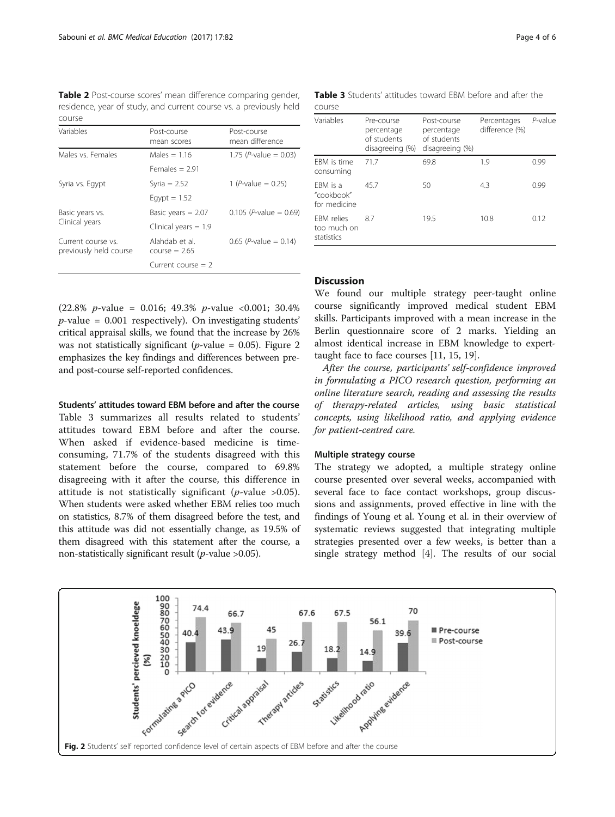<span id="page-3-0"></span>Table 2 Post-course scores' mean difference comparing gender, residence, year of study, and current course vs. a previously held course

| Variables                                    | Post-course<br>mean scores        | Post-course<br>mean difference    |  |
|----------------------------------------------|-----------------------------------|-----------------------------------|--|
| Males vs. Females                            | Males $= 1.16$                    | 1.75 (P-value = 0.03)             |  |
|                                              | Females $= 2.91$                  |                                   |  |
| Syria vs. Egypt                              | Syria $= 2.52$                    | 1 ( <i>P</i> -value = $0.25$ )    |  |
|                                              | Eqypt $= 1.52$                    |                                   |  |
| Basic years vs.                              | Basic years $= 2.07$              | $0.105$ ( <i>P</i> -value = 0.69) |  |
| Clinical years                               | Clinical years $= 1.9$            |                                   |  |
| Current course vs.<br>previously held course | Alahdab et al.<br>course $= 2.65$ | 0.65 (P-value = $0.14$ )          |  |
|                                              | Current course $= 2$              |                                   |  |

 $(22.8\% \text{ } p\text{-value} = 0.016; 49.3\% \text{ } p\text{-value} < 0.001; 30.4\%$  $p$ -value = 0.001 respectively). On investigating students' critical appraisal skills, we found that the increase by 26% was not statistically significant (*p*-value = 0.05). Figure 2 emphasizes the key findings and differences between preand post-course self-reported confidences.

#### Students' attitudes toward EBM before and after the course

Table 3 summarizes all results related to students' attitudes toward EBM before and after the course. When asked if evidence-based medicine is timeconsuming, 71.7% of the students disagreed with this statement before the course, compared to 69.8% disagreeing with it after the course, this difference in attitude is not statistically significant ( $p$ -value >0.05). When students were asked whether EBM relies too much on statistics, 8.7% of them disagreed before the test, and this attitude was did not essentially change, as 19.5% of them disagreed with this statement after the course, a non-statistically significant result ( $p$ -value >0.05).

Table 3 Students' attitudes toward EBM before and after the course

| Variables                                      | Pre-course<br>percentage<br>of students<br>disagreeing (%) | Post-course<br>percentage<br>of students<br>disagreeing (%) | Percentages<br>difference (%) | $P$ -value |
|------------------------------------------------|------------------------------------------------------------|-------------------------------------------------------------|-------------------------------|------------|
| FBM is time<br>consuming                       | 717                                                        | 69.8                                                        | 1.9                           | 0.99       |
| FBM is a<br>"cookbook"<br>for medicine         | 457                                                        | 50                                                          | 4.3                           | 0.99       |
| <b>FRM</b> relies<br>too much on<br>statistics | 87                                                         | 19.5                                                        | 10.8                          | 0.12       |

## Discussion

We found our multiple strategy peer-taught online course significantly improved medical student EBM skills. Participants improved with a mean increase in the Berlin questionnaire score of 2 marks. Yielding an almost identical increase in EBM knowledge to experttaught face to face courses [[11](#page-5-0), [15](#page-5-0), [19](#page-5-0)].

After the course, participants' self-confidence improved in formulating a PICO research question, performing an online literature search, reading and assessing the results of therapy-related articles, using basic statistical concepts, using likelihood ratio, and applying evidence for patient-centred care.

#### Multiple strategy course

The strategy we adopted, a multiple strategy online course presented over several weeks, accompanied with several face to face contact workshops, group discussions and assignments, proved effective in line with the findings of Young et al. Young et al. in their overview of systematic reviews suggested that integrating multiple strategies presented over a few weeks, is better than a single strategy method [[4\]](#page-5-0). The results of our social

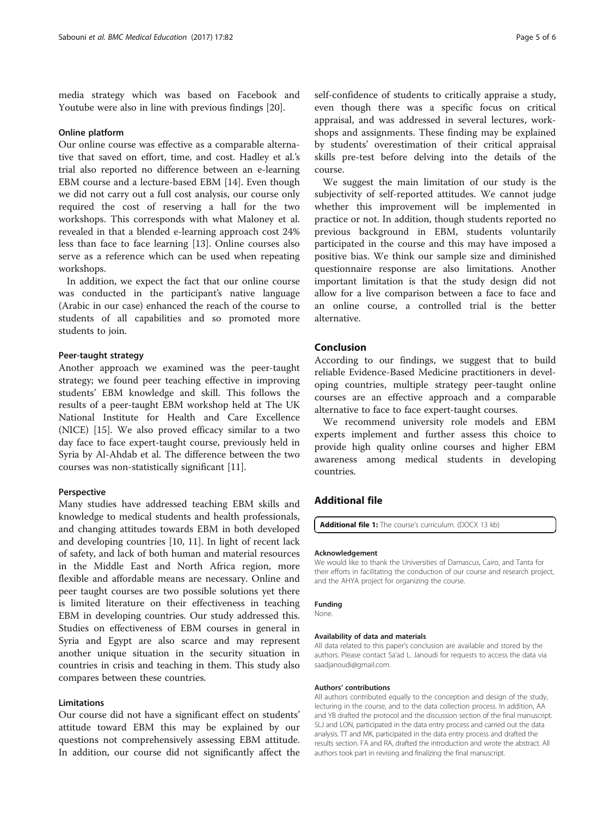<span id="page-4-0"></span>media strategy which was based on Facebook and Youtube were also in line with previous findings [\[20\]](#page-5-0).

#### Online platform

Our online course was effective as a comparable alternative that saved on effort, time, and cost. Hadley et al.'s trial also reported no difference between an e-learning EBM course and a lecture-based EBM [\[14](#page-5-0)]. Even though we did not carry out a full cost analysis, our course only required the cost of reserving a hall for the two workshops. This corresponds with what Maloney et al. revealed in that a blended e-learning approach cost 24% less than face to face learning [\[13](#page-5-0)]. Online courses also serve as a reference which can be used when repeating workshops.

In addition, we expect the fact that our online course was conducted in the participant's native language (Arabic in our case) enhanced the reach of the course to students of all capabilities and so promoted more students to join.

#### Peer-taught strategy

Another approach we examined was the peer-taught strategy; we found peer teaching effective in improving students' EBM knowledge and skill. This follows the results of a peer-taught EBM workshop held at The UK National Institute for Health and Care Excellence (NICE) [[15\]](#page-5-0). We also proved efficacy similar to a two day face to face expert-taught course, previously held in Syria by Al-Ahdab et al. The difference between the two courses was non-statistically significant [\[11](#page-5-0)].

#### Perspective

Many studies have addressed teaching EBM skills and knowledge to medical students and health professionals, and changing attitudes towards EBM in both developed and developing countries [[10, 11\]](#page-5-0). In light of recent lack of safety, and lack of both human and material resources in the Middle East and North Africa region, more flexible and affordable means are necessary. Online and peer taught courses are two possible solutions yet there is limited literature on their effectiveness in teaching EBM in developing countries. Our study addressed this. Studies on effectiveness of EBM courses in general in Syria and Egypt are also scarce and may represent another unique situation in the security situation in countries in crisis and teaching in them. This study also compares between these countries.

### Limitations

Our course did not have a significant effect on students' attitude toward EBM this may be explained by our questions not comprehensively assessing EBM attitude. In addition, our course did not significantly affect the

self-confidence of students to critically appraise a study, even though there was a specific focus on critical appraisal, and was addressed in several lectures, workshops and assignments. These finding may be explained by students' overestimation of their critical appraisal skills pre-test before delving into the details of the course.

We suggest the main limitation of our study is the subjectivity of self-reported attitudes. We cannot judge whether this improvement will be implemented in practice or not. In addition, though students reported no previous background in EBM, students voluntarily participated in the course and this may have imposed a positive bias. We think our sample size and diminished questionnaire response are also limitations. Another important limitation is that the study design did not allow for a live comparison between a face to face and an online course, a controlled trial is the better alternative.

### Conclusion

According to our findings, we suggest that to build reliable Evidence-Based Medicine practitioners in developing countries, multiple strategy peer-taught online courses are an effective approach and a comparable alternative to face to face expert-taught courses.

We recommend university role models and EBM experts implement and further assess this choice to provide high quality online courses and higher EBM awareness among medical students in developing countries.

# Additional file

[Additional file 1:](dx.doi.org/10.1186/s12909-017-0924-1) The course's curriculum. (DOCX 13 kb)

#### Acknowledgement

We would like to thank the Universities of Damascus, Cairo, and Tanta for their efforts in facilitating the conduction of our course and research project, and the AHYA project for organizing the course.

#### Funding

None.

#### Availability of data and materials

All data related to this paper's conclusion are available and stored by the authors. Please contact Sa'ad L. Janoudi for requests to access the data via saadjanoudi@gmail.com.

#### Authors' contributions

All authors contributed equally to the conception and design of the study, lecturing in the course, and to the data collection process. In addition, AA and YB drafted the protocol and the discussion section of the final manuscript. SLJ and LON, participated in the data entry process and carried out the data analysis. TT and MK, participated in the data entry process and drafted the results section. FA and RA, drafted the introduction and wrote the abstract. All authors took part in revising and finalizing the final manuscript.